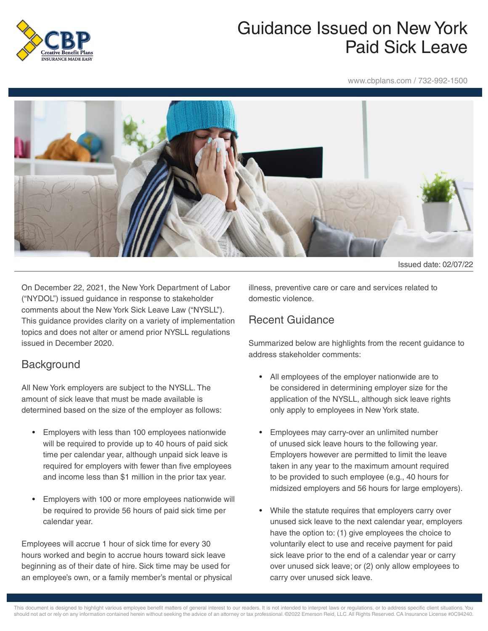

## Guidance Issued on New York Paid Sick Leave

www.cbplans.com / 732-992-1500



Issued date: 02/07/22

On December 22, 2021, the New York Department of Labor ("NYDOL") issued guidance in response to stakeholder comments about the New York Sick Leave Law ("NYSLL"). This guidance provides clarity on a variety of implementation topics and does not alter or amend prior NYSLL regulations issued in December 2020.

## **Background**

All New York employers are subject to the NYSLL. The amount of sick leave that must be made available is determined based on the size of the employer as follows:

- Employers with less than 100 employees nationwide will be required to provide up to 40 hours of paid sick time per calendar year, although unpaid sick leave is required for employers with fewer than five employees and income less than \$1 million in the prior tax year.
- Employers with 100 or more employees nationwide will be required to provide 56 hours of paid sick time per calendar year.

Employees will accrue 1 hour of sick time for every 30 hours worked and begin to accrue hours toward sick leave beginning as of their date of hire. Sick time may be used for an employee's own, or a family member's mental or physical illness, preventive care or care and services related to domestic violence.

## Recent Guidance

Summarized below are highlights from the recent guidance to address stakeholder comments:

- All employees of the employer nationwide are to be considered in determining employer size for the application of the NYSLL, although sick leave rights only apply to employees in New York state.
- Employees may carry-over an unlimited number of unused sick leave hours to the following year. Employers however are permitted to limit the leave taken in any year to the maximum amount required to be provided to such employee (e.g., 40 hours for midsized employers and 56 hours for large employers).
- While the statute requires that employers carry over unused sick leave to the next calendar year, employers have the option to: (1) give employees the choice to voluntarily elect to use and receive payment for paid sick leave prior to the end of a calendar year or carry over unused sick leave; or (2) only allow employees to carry over unused sick leave.